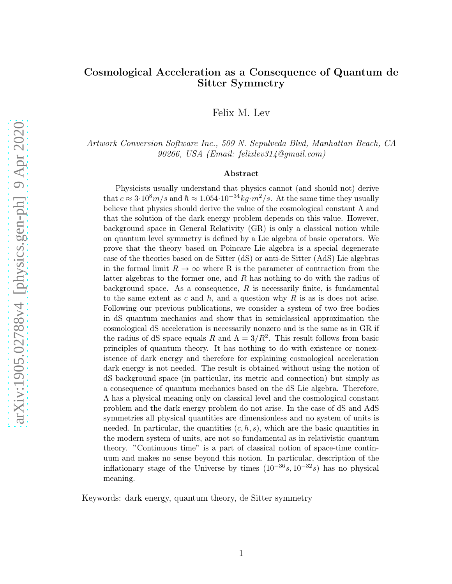#### Cosmological Acceleration as a Consequence of Quantum de Sitter Symmetry

Felix M. Lev

Artwork Conversion Software Inc., 509 N. Sepulveda Blvd, Manhattan Beach, CA 90266, USA (Email: felixlev314@gmail.com)

#### Abstract

Physicists usually understand that physics cannot (and should not) derive that  $c \approx 3.10^8 m/s$  and  $\hbar \approx 1.054 \cdot 10^{-34} kg \cdot m^2/s$ . At the same time they usually believe that physics should derive the value of the cosmological constant  $\Lambda$  and that the solution of the dark energy problem depends on this value. However, background space in General Relativity (GR) is only a classical notion while on quantum level symmetry is defined by a Lie algebra of basic operators. We prove that the theory based on Poincare Lie algebra is a special degenerate case of the theories based on de Sitter (dS) or anti-de Sitter (AdS) Lie algebras in the formal limit  $R \to \infty$  where R is the parameter of contraction from the latter algebras to the former one, and R has nothing to do with the radius of background space. As a consequence,  $R$  is necessarily finite, is fundamental to the same extent as c and  $\hbar$ , and a question why R is as is does not arise. Following our previous publications, we consider a system of two free bodies in dS quantum mechanics and show that in semiclassical approximation the cosmological dS acceleration is necessarily nonzero and is the same as in GR if the radius of dS space equals R and  $\Lambda = 3/R^2$ . This result follows from basic principles of quantum theory. It has nothing to do with existence or nonexistence of dark energy and therefore for explaining cosmological acceleration dark energy is not needed. The result is obtained without using the notion of dS background space (in particular, its metric and connection) but simply as a consequence of quantum mechanics based on the dS Lie algebra. Therefore, Λ has a physical meaning only on classical level and the cosmological constant problem and the dark energy problem do not arise. In the case of dS and AdS symmetries all physical quantities are dimensionless and no system of units is needed. In particular, the quantities  $(c, \hbar, s)$ , which are the basic quantities in the modern system of units, are not so fundamental as in relativistic quantum theory. "Continuous time" is a part of classical notion of space-time continuum and makes no sense beyond this notion. In particular, description of the inflationary stage of the Universe by times  $(10^{-36} s, 10^{-32} s)$  has no physical meaning.

Keywords: dark energy, quantum theory, de Sitter symmetry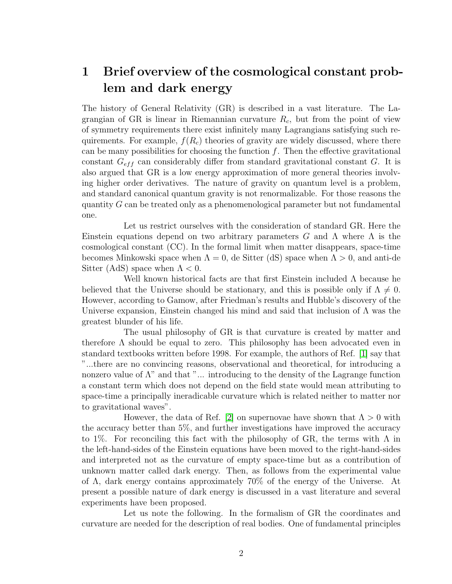# <span id="page-1-0"></span>1 Brief overview of the cosmological constant problem and dark energy

The history of General Relativity (GR) is described in a vast literature. The Lagrangian of GR is linear in Riemannian curvature  $R_c$ , but from the point of view of symmetry requirements there exist infinitely many Lagrangians satisfying such requirements. For example,  $f(R_c)$  theories of gravity are widely discussed, where there can be many possibilities for choosing the function  $f$ . Then the effective gravitational constant  $G_{eff}$  can considerably differ from standard gravitational constant G. It is also argued that GR is a low energy approximation of more general theories involving higher order derivatives. The nature of gravity on quantum level is a problem, and standard canonical quantum gravity is not renormalizable. For those reasons the quantity G can be treated only as a phenomenological parameter but not fundamental one.

Let us restrict ourselves with the consideration of standard GR. Here the Einstein equations depend on two arbitrary parameters G and  $\Lambda$  where  $\Lambda$  is the cosmological constant (CC). In the formal limit when matter disappears, space-time becomes Minkowski space when  $\Lambda = 0$ , de Sitter (dS) space when  $\Lambda > 0$ , and anti-de Sitter (AdS) space when  $\Lambda < 0$ .

Well known historical facts are that first Einstein included  $\Lambda$  because he believed that the Universe should be stationary, and this is possible only if  $\Lambda \neq 0$ . However, according to Gamow, after Friedman's results and Hubble's discovery of the Universe expansion, Einstein changed his mind and said that inclusion of  $\Lambda$  was the greatest blunder of his life.

The usual philosophy of GR is that curvature is created by matter and therefore  $\Lambda$  should be equal to zero. This philosophy has been advocated even in standard textbooks written before 1998. For example, the authors of Ref. [\[1\]](#page-15-0) say that "...there are no convincing reasons, observational and theoretical, for introducing a nonzero value of  $\Lambda$ " and that "... introducing to the density of the Lagrange function a constant term which does not depend on the field state would mean attributing to space-time a principally ineradicable curvature which is related neither to matter nor to gravitational waves".

However, the data of Ref. [\[2\]](#page-15-1) on supernovae have shown that  $\Lambda > 0$  with the accuracy better than 5%, and further investigations have improved the accuracy to 1%. For reconciling this fact with the philosophy of GR, the terms with  $\Lambda$  in the left-hand-sides of the Einstein equations have been moved to the right-hand-sides and interpreted not as the curvature of empty space-time but as a contribution of unknown matter called dark energy. Then, as follows from the experimental value of Λ, dark energy contains approximately 70% of the energy of the Universe. At present a possible nature of dark energy is discussed in a vast literature and several experiments have been proposed.

Let us note the following. In the formalism of GR the coordinates and curvature are needed for the description of real bodies. One of fundamental principles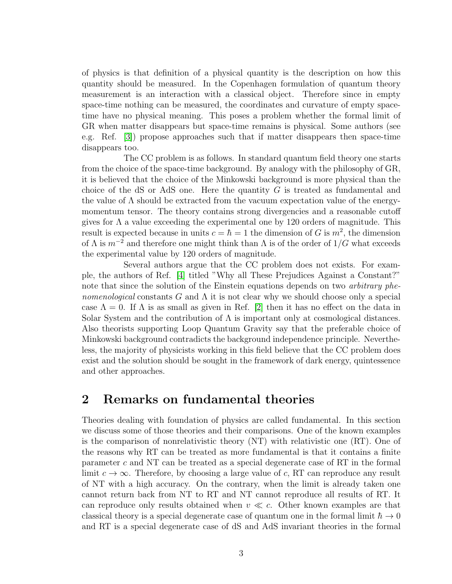of physics is that definition of a physical quantity is the description on how this quantity should be measured. In the Copenhagen formulation of quantum theory measurement is an interaction with a classical object. Therefore since in empty space-time nothing can be measured, the coordinates and curvature of empty spacetime have no physical meaning. This poses a problem whether the formal limit of GR when matter disappears but space-time remains is physical. Some authors (see e.g. Ref. [\[3\]](#page-15-2)) propose approaches such that if matter disappears then space-time disappears too.

The CC problem is as follows. In standard quantum field theory one starts from the choice of the space-time background. By analogy with the philosophy of GR, it is believed that the choice of the Minkowski background is more physical than the choice of the dS or AdS one. Here the quantity  $G$  is treated as fundamental and the value of  $\Lambda$  should be extracted from the vacuum expectation value of the energymomentum tensor. The theory contains strong divergencies and a reasonable cutoff gives for  $\Lambda$  a value exceeding the experimental one by 120 orders of magnitude. This result is expected because in units  $c = \hbar = 1$  the dimension of G is  $m^2$ , the dimension of  $\Lambda$  is  $m^{-2}$  and therefore one might think than  $\Lambda$  is of the order of  $1/G$  what exceeds the experimental value by 120 orders of magnitude.

Several authors argue that the CC problem does not exists. For example, the authors of Ref. [\[4\]](#page-15-3) titled "Why all These Prejudices Against a Constant?" note that since the solution of the Einstein equations depends on two *arbitrary phe*nomenological constants G and  $\Lambda$  it is not clear why we should choose only a special case  $\Lambda = 0$ . If  $\Lambda$  is as small as given in Ref. [\[2\]](#page-15-1) then it has no effect on the data in Solar System and the contribution of  $\Lambda$  is important only at cosmological distances. Also theorists supporting Loop Quantum Gravity say that the preferable choice of Minkowski background contradicts the background independence principle. Nevertheless, the majority of physicists working in this field believe that the CC problem does exist and the solution should be sought in the framework of dark energy, quintessence and other approaches.

### <span id="page-2-0"></span>2 Remarks on fundamental theories

Theories dealing with foundation of physics are called fundamental. In this section we discuss some of those theories and their comparisons. One of the known examples is the comparison of nonrelativistic theory (NT) with relativistic one (RT). One of the reasons why RT can be treated as more fundamental is that it contains a finite parameter c and NT can be treated as a special degenerate case of RT in the formal limit  $c \to \infty$ . Therefore, by choosing a large value of c, RT can reproduce any result of NT with a high accuracy. On the contrary, when the limit is already taken one cannot return back from NT to RT and NT cannot reproduce all results of RT. It can reproduce only results obtained when  $v \ll c$ . Other known examples are that classical theory is a special degenerate case of quantum one in the formal limit  $\hbar \to 0$ and RT is a special degenerate case of dS and AdS invariant theories in the formal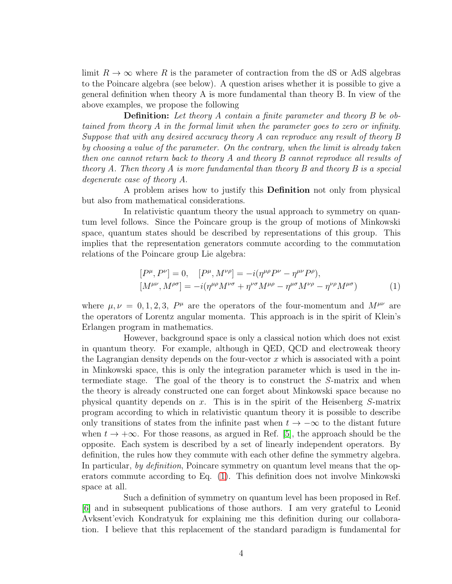limit  $R \to \infty$  where R is the parameter of contraction from the dS or AdS algebras to the Poincare algebra (see below). A question arises whether it is possible to give a general definition when theory A is more fundamental than theory B. In view of the above examples, we propose the following

**Definition:** Let theory A contain a finite parameter and theory B be obtained from theory A in the formal limit when the parameter goes to zero or infinity. Suppose that with any desired accuracy theory A can reproduce any result of theory B by choosing a value of the parameter. On the contrary, when the limit is already taken then one cannot return back to theory A and theory B cannot reproduce all results of theory A. Then theory A is more fundamental than theory B and theory B is a special degenerate case of theory A.

A problem arises how to justify this Definition not only from physical but also from mathematical considerations.

In relativistic quantum theory the usual approach to symmetry on quantum level follows. Since the Poincare group is the group of motions of Minkowski space, quantum states should be described by representations of this group. This implies that the representation generators commute according to the commutation relations of the Poincare group Lie algebra:

<span id="page-3-0"></span>
$$
[P^{\mu}, P^{\nu}] = 0, \quad [P^{\mu}, M^{\nu \rho}] = -i(\eta^{\mu \rho} P^{\nu} - \eta^{\mu \nu} P^{\rho}), [M^{\mu \nu}, M^{\rho \sigma}] = -i(\eta^{\mu \rho} M^{\nu \sigma} + \eta^{\nu \sigma} M^{\mu \rho} - \eta^{\mu \sigma} M^{\nu \rho} - \eta^{\nu \rho} M^{\mu \sigma})
$$
(1)

where  $\mu, \nu = 0, 1, 2, 3$ ,  $P^{\mu}$  are the operators of the four-momentum and  $M^{\mu\nu}$  are the operators of Lorentz angular momenta. This approach is in the spirit of Klein's Erlangen program in mathematics.

However, background space is only a classical notion which does not exist in quantum theory. For example, although in QED, QCD and electroweak theory the Lagrangian density depends on the four-vector  $x$  which is associated with a point in Minkowski space, this is only the integration parameter which is used in the intermediate stage. The goal of the theory is to construct the S-matrix and when the theory is already constructed one can forget about Minkowski space because no physical quantity depends on x. This is in the spirit of the Heisenberg S-matrix program according to which in relativistic quantum theory it is possible to describe only transitions of states from the infinite past when  $t \to -\infty$  to the distant future when  $t \to +\infty$ . For those reasons, as argued in Ref. [\[5\]](#page-15-4), the approach should be the opposite. Each system is described by a set of linearly independent operators. By definition, the rules how they commute with each other define the symmetry algebra. In particular, by definition, Poincare symmetry on quantum level means that the operators commute according to Eq. [\(1\)](#page-3-0). This definition does not involve Minkowski space at all.

Such a definition of symmetry on quantum level has been proposed in Ref. [\[6\]](#page-15-5) and in subsequent publications of those authors. I am very grateful to Leonid Avksent'evich Kondratyuk for explaining me this definition during our collaboration. I believe that this replacement of the standard paradigm is fundamental for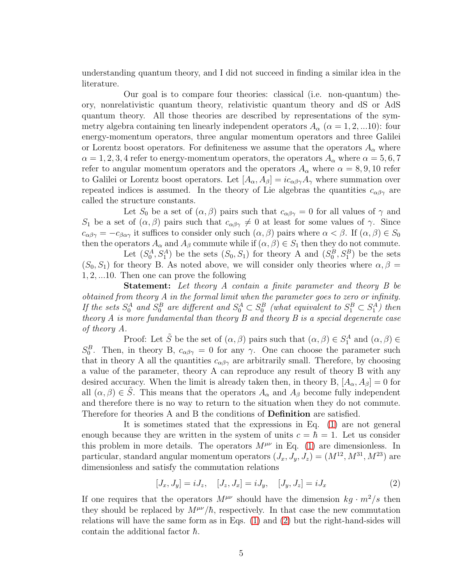understanding quantum theory, and I did not succeed in finding a similar idea in the literature.

Our goal is to compare four theories: classical (i.e. non-quantum) theory, nonrelativistic quantum theory, relativistic quantum theory and dS or AdS quantum theory. All those theories are described by representations of the symmetry algebra containing ten linearly independent operators  $A_{\alpha}$  ( $\alpha = 1, 2, ... 10$ ): four energy-momentum operators, three angular momentum operators and three Galilei or Lorentz boost operators. For definiteness we assume that the operators  $A_{\alpha}$  where  $\alpha = 1, 2, 3, 4$  refer to energy-momentum operators, the operators  $A_{\alpha}$  where  $\alpha = 5, 6, 7$ refer to angular momentum operators and the operators  $A_{\alpha}$  where  $\alpha = 8, 9, 10$  refer to Galilei or Lorentz boost operators. Let  $[A_{\alpha}, A_{\beta}] = ic_{\alpha\beta\gamma}A_{\gamma}$  where summation over repeated indices is assumed. In the theory of Lie algebras the quantities  $c_{\alpha\beta\gamma}$  are called the structure constants.

Let  $S_0$  be a set of  $(\alpha, \beta)$  pairs such that  $c_{\alpha\beta\gamma} = 0$  for all values of  $\gamma$  and S<sub>1</sub> be a set of  $(\alpha, \beta)$  pairs such that  $c_{\alpha\beta\gamma} \neq 0$  at least for some values of  $\gamma$ . Since  $c_{\alpha\beta\gamma} = -c_{\beta\alpha\gamma}$  it suffices to consider only such  $(\alpha, \beta)$  pairs where  $\alpha < \beta$ . If  $(\alpha, \beta) \in S_0$ then the operators  $A_{\alpha}$  and  $A_{\beta}$  commute while if  $(\alpha, \beta) \in S_1$  then they do not commute.

Let  $(S_0^A, S_1^A)$  be the sets  $(S_0, S_1)$  for theory A and  $(S_0^B, S_1^B)$  be the sets  $(S_0, S_1)$  for theory B. As noted above, we will consider only theories where  $\alpha, \beta =$ 1, 2, ...10. Then one can prove the following

Statement: Let theory A contain a finite parameter and theory B be obtained from theory A in the formal limit when the parameter goes to zero or infinity. If the sets  $S_0^A$  and  $S_0^B$  are different and  $S_0^A \subset S_0^B$  (what equivalent to  $S_1^B \subset S_1^A$ ) then theory A is more fundamental than theory B and theory B is a special degenerate case of theory A.

Proof: Let  $\tilde{S}$  be the set of  $(\alpha, \beta)$  pairs such that  $(\alpha, \beta) \in S_1^A$  and  $(\alpha, \beta) \in$  $S_0^B$ . Then, in theory B,  $c_{\alpha\beta\gamma} = 0$  for any  $\gamma$ . One can choose the parameter such that in theory A all the quantities  $c_{\alpha\beta\gamma}$  are arbitrarily small. Therefore, by choosing a value of the parameter, theory A can reproduce any result of theory B with any desired accuracy. When the limit is already taken then, in theory B,  $[A_{\alpha}, A_{\beta}] = 0$  for all  $(\alpha, \beta) \in \tilde{S}$ . This means that the operators  $A_{\alpha}$  and  $A_{\beta}$  become fully independent and therefore there is no way to return to the situation when they do not commute. Therefore for theories A and B the conditions of Definition are satisfied.

It is sometimes stated that the expressions in Eq. [\(1\)](#page-3-0) are not general enough because they are written in the system of units  $c = \hbar = 1$ . Let us consider this problem in more details. The operators  $M^{\mu\nu}$  in Eq. [\(1\)](#page-3-0) are dimensionless. In particular, standard angular momentum operators  $(J_x, J_y, J_z) = (M^{12}, M^{31}, M^{23})$  are dimensionless and satisfy the commutation relations

<span id="page-4-0"></span>
$$
[J_x, J_y] = iJ_z, \quad [J_z, J_x] = iJ_y, \quad [J_y, J_z] = iJ_x \tag{2}
$$

If one requires that the operators  $M^{\mu\nu}$  should have the dimension  $kg \cdot m^2/s$  then they should be replaced by  $M^{\mu\nu}/\hbar$ , respectively. In that case the new commutation relations will have the same form as in Eqs. [\(1\)](#page-3-0) and [\(2\)](#page-4-0) but the right-hand-sides will contain the additional factor  $\hbar$ .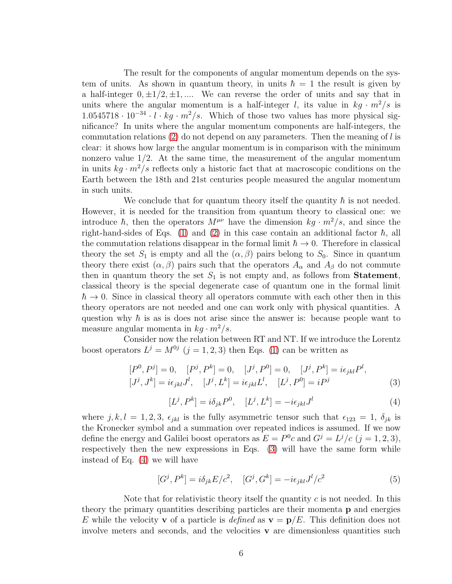The result for the components of angular momentum depends on the system of units. As shown in quantum theory, in units  $\hbar = 1$  the result is given by a half-integer  $0, \pm 1/2, \pm 1, \dots$  We can reverse the order of units and say that in units where the angular momentum is a half-integer l, its value in  $kg \cdot m^2/s$  is  $1.0545718 \cdot 10^{-34} \cdot l \cdot kg \cdot m^2/s$ . Which of those two values has more physical significance? In units where the angular momentum components are half-integers, the commutation relations  $(2)$  do not depend on any parameters. Then the meaning of l is clear: it shows how large the angular momentum is in comparison with the minimum nonzero value  $1/2$ . At the same time, the measurement of the angular momentum in units  $kq \cdot m^2/s$  reflects only a historic fact that at macroscopic conditions on the Earth between the 18th and 21st centuries people measured the angular momentum in such units.

We conclude that for quantum theory itself the quantity  $\hbar$  is not needed. However, it is needed for the transition from quantum theory to classical one: we introduce  $\hbar$ , then the operators  $M^{\mu\nu}$  have the dimension  $kg \cdot m^2/s$ , and since the right-hand-sides of Eqs. [\(1\)](#page-3-0) and [\(2\)](#page-4-0) in this case contain an additional factor  $\hbar$ , all the commutation relations disappear in the formal limit  $\hbar \to 0$ . Therefore in classical theory the set  $S_1$  is empty and all the  $(\alpha, \beta)$  pairs belong to  $S_0$ . Since in quantum theory there exist  $(\alpha, \beta)$  pairs such that the operators  $A_{\alpha}$  and  $A_{\beta}$  do not commute then in quantum theory the set  $S_1$  is not empty and, as follows from **Statement**, classical theory is the special degenerate case of quantum one in the formal limit  $\hbar \rightarrow 0$ . Since in classical theory all operators commute with each other then in this theory operators are not needed and one can work only with physical quantities. A question why  $\hbar$  is as is does not arise since the answer is: because people want to measure angular momenta in  $kq \cdot m^2/s$ .

Consider now the relation between RT and NT. If we introduce the Lorentz boost operators  $L^j = M^{0j}$   $(j = 1, 2, 3)$  then Eqs. [\(1\)](#page-3-0) can be written as

<span id="page-5-0"></span>
$$
[P^0, P^j] = 0, \quad [P^j, P^k] = 0, \quad [J^j, P^0] = 0, \quad [J^j, P^k] = i\epsilon_{jkl}P^l,
$$
  

$$
[J^j, J^k] = i\epsilon_{jkl}J^l, \quad [J^j, L^k] = i\epsilon_{jkl}L^l, \quad [L^j, P^0] = iP^j
$$
 (3)

<span id="page-5-1"></span>
$$
[L^j, P^k] = i\delta_{jk} P^0, \quad [L^j, L^k] = -i\epsilon_{jkl} J^l \tag{4}
$$

where j, k, l = 1, 2, 3,  $\epsilon_{jkl}$  is the fully asymmetric tensor such that  $\epsilon_{123} = 1$ ,  $\delta_{jk}$  is the Kronecker symbol and a summation over repeated indices is assumed. If we now define the energy and Galilei boost operators as  $E = P^0c$  and  $G^j = L^j/c$   $(j = 1, 2, 3)$ , respectively then the new expressions in Eqs. [\(3\)](#page-5-0) will have the same form while instead of Eq. [\(4\)](#page-5-1) we will have

<span id="page-5-2"></span>
$$
[G^j, P^k] = i\delta_{jk}E/c^2, \quad [G^j, G^k] = -i\epsilon_{jkl}J^l/c^2 \tag{5}
$$

Note that for relativistic theory itself the quantity  $c$  is not needed. In this theory the primary quantities describing particles are their momenta p and energies E while the velocity **v** of a particle is *defined* as  $\mathbf{v} = \mathbf{p}/E$ . This definition does not involve meters and seconds, and the velocities  $\bf{v}$  are dimensionless quantities such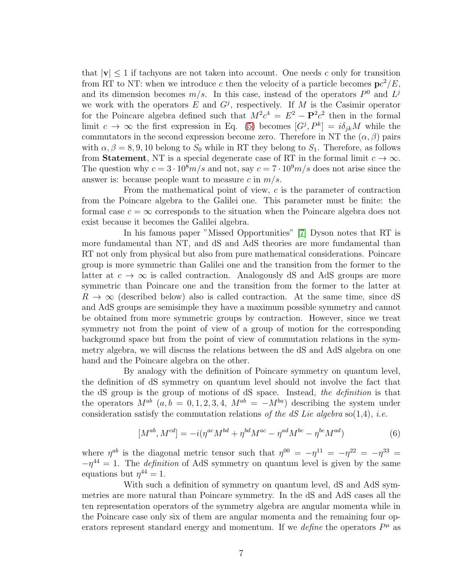that  $|v| \leq 1$  if tachyons are not taken into account. One needs c only for transition from RT to NT: when we introduce c then the velocity of a particle becomes  $pc^2/E$ , and its dimension becomes  $m/s$ . In this case, instead of the operators  $P^0$  and  $L^j$ we work with the operators E and  $G<sup>j</sup>$ , respectively. If M is the Casimir operator for the Poincare algebra defined such that  $M^2c^4 = E^2 - P^2c^2$  then in the formal limit  $c \to \infty$  the first expression in Eq. [\(5\)](#page-5-2) becomes  $[G^j, P^k] = i\delta_{jk}M$  while the commutators in the second expression become zero. Therefore in NT the  $(\alpha, \beta)$  pairs with  $\alpha, \beta = 8, 9, 10$  belong to  $S_0$  while in RT they belong to  $S_1$ . Therefore, as follows from **Statement**, NT is a special degenerate case of RT in the formal limit  $c \to \infty$ . The question why  $c = 3 \cdot 10^8 m/s$  and not, say  $c = 7 \cdot 10^9 m/s$  does not arise since the answer is: because people want to measure c in  $m/s$ .

From the mathematical point of view, c is the parameter of contraction from the Poincare algebra to the Galilei one. This parameter must be finite: the formal case  $c = \infty$  corresponds to the situation when the Poincare algebra does not exist because it becomes the Galilei algebra.

In his famous paper "Missed Opportunities" [\[7\]](#page-15-6) Dyson notes that RT is more fundamental than NT, and dS and AdS theories are more fundamental than RT not only from physical but also from pure mathematical considerations. Poincare group is more symmetric than Galilei one and the transition from the former to the latter at  $c \to \infty$  is called contraction. Analogously dS and AdS groups are more symmetric than Poincare one and the transition from the former to the latter at  $R \to \infty$  (described below) also is called contraction. At the same time, since dS and AdS groups are semisimple they have a maximum possible symmetry and cannot be obtained from more symmetric groups by contraction. However, since we treat symmetry not from the point of view of a group of motion for the corresponding background space but from the point of view of commutation relations in the symmetry algebra, we will discuss the relations between the dS and AdS algebra on one hand and the Poincare algebra on the other.

By analogy with the definition of Poincare symmetry on quantum level, the definition of dS symmetry on quantum level should not involve the fact that the dS group is the group of motions of dS space. Instead, the definition is that the operators  $M^{ab}$  (a, b = 0, 1, 2, 3, 4,  $M^{ab} = -M^{ba}$ ) describing the system under consideration satisfy the commutation relations of the dS Lie algebra so(1,4), *i.e.* 

<span id="page-6-0"></span>
$$
[M^{ab}, M^{cd}] = -i(\eta^{ac}M^{bd} + \eta^{bd}M^{ac} - \eta^{ad}M^{bc} - \eta^{bc}M^{ad})
$$
\n
$$
(6)
$$

where  $\eta^{ab}$  is the diagonal metric tensor such that  $\eta^{00} = -\eta^{11} = -\eta^{22} = -\eta^{33} =$  $-\eta^{44} = 1$ . The *definition* of AdS symmetry on quantum level is given by the same equations but  $\eta^{44} = 1$ .

With such a definition of symmetry on quantum level, dS and AdS symmetries are more natural than Poincare symmetry. In the dS and AdS cases all the ten representation operators of the symmetry algebra are angular momenta while in the Poincare case only six of them are angular momenta and the remaining four operators represent standard energy and momentum. If we *define* the operators  $P^{\mu}$  as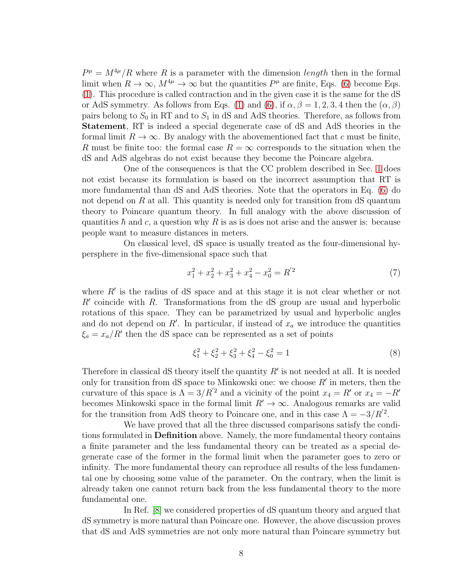$P^{\mu} = M^{4\mu}/R$  where R is a parameter with the dimension length then in the formal limit when  $R \to \infty$ ,  $M^{4\mu} \to \infty$  but the quantities  $P^{\mu}$  are finite, Eqs. [\(6\)](#page-6-0) become Eqs. [\(1\)](#page-3-0). This procedure is called contraction and in the given case it is the same for the dS or AdS symmetry. As follows from Eqs. [\(1\)](#page-3-0) and [\(6\)](#page-6-0), if  $\alpha, \beta = 1, 2, 3, 4$  then the  $(\alpha, \beta)$ pairs belong to  $S_0$  in RT and to  $S_1$  in dS and AdS theories. Therefore, as follows from Statement, RT is indeed a special degenerate case of dS and AdS theories in the formal limit  $R \to \infty$ . By analogy with the abovementioned fact that c must be finite, R must be finite too: the formal case  $R = \infty$  corresponds to the situation when the dS and AdS algebras do not exist because they become the Poincare algebra.

One of the consequences is that the CC problem described in Sec. [1](#page-1-0) does not exist because its formulation is based on the incorrect assumption that RT is more fundamental than dS and AdS theories. Note that the operators in Eq. [\(6\)](#page-6-0) do not depend on  $R$  at all. This quantity is needed only for transition from  $dS$  quantum theory to Poincare quantum theory. In full analogy with the above discussion of quantities  $\hbar$  and c, a question why R is as is does not arise and the answer is: because people want to measure distances in meters.

On classical level, dS space is usually treated as the four-dimensional hypersphere in the five-dimensional space such that

<span id="page-7-0"></span>
$$
x_1^2 + x_2^2 + x_3^2 + x_4^2 - x_0^2 = R^{'2}
$$
\n<sup>(7)</sup>

where  $R'$  is the radius of dS space and at this stage it is not clear whether or not  $R'$  coincide with  $R$ . Transformations from the dS group are usual and hyperbolic rotations of this space. They can be parametrized by usual and hyperbolic angles and do not depend on  $R'$ . In particular, if instead of  $x_a$  we introduce the quantities  $\xi_a = x_a/R'$  then the dS space can be represented as a set of points

$$
\xi_1^2 + \xi_2^2 + \xi_3^2 + \xi_4^2 - \xi_0^2 = 1\tag{8}
$$

Therefore in classical dS theory itself the quantity  $R'$  is not needed at all. It is needed only for transition from dS space to Minkowski one: we choose  $R'$  in meters, then the curvature of this space is  $\Lambda = 3/R'^2$  and a vicinity of the point  $x_4 = R'$  or  $x_4 = -R'$ becomes Minkowski space in the formal limit  $R' \to \infty$ . Analogous remarks are valid for the transition from AdS theory to Poincare one, and in this case  $\Lambda = -3/R'^2$ .

We have proved that all the three discussed comparisons satisfy the conditions formulated in Definition above. Namely, the more fundamental theory contains a finite parameter and the less fundamental theory can be treated as a special degenerate case of the former in the formal limit when the parameter goes to zero or infinity. The more fundamental theory can reproduce all results of the less fundamental one by choosing some value of the parameter. On the contrary, when the limit is already taken one cannot return back from the less fundamental theory to the more fundamental one.

In Ref. [\[8\]](#page-15-7) we considered properties of dS quantum theory and argued that dS symmetry is more natural than Poincare one. However, the above discussion proves that dS and AdS symmetries are not only more natural than Poincare symmetry but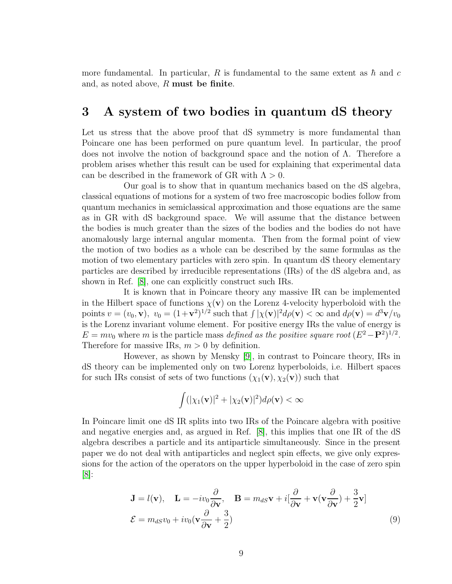more fundamental. In particular, R is fundamental to the same extent as  $\hbar$  and c and, as noted above, R must be finite.

#### <span id="page-8-1"></span>3 A system of two bodies in quantum dS theory

Let us stress that the above proof that dS symmetry is more fundamental than Poincare one has been performed on pure quantum level. In particular, the proof does not involve the notion of background space and the notion of Λ. Therefore a problem arises whether this result can be used for explaining that experimental data can be described in the framework of GR with  $\Lambda > 0$ .

Our goal is to show that in quantum mechanics based on the dS algebra, classical equations of motions for a system of two free macroscopic bodies follow from quantum mechanics in semiclassical approximation and those equations are the same as in GR with dS background space. We will assume that the distance between the bodies is much greater than the sizes of the bodies and the bodies do not have anomalously large internal angular momenta. Then from the formal point of view the motion of two bodies as a whole can be described by the same formulas as the motion of two elementary particles with zero spin. In quantum dS theory elementary particles are described by irreducible representations (IRs) of the dS algebra and, as shown in Ref. [\[8\]](#page-15-7), one can explicitly construct such IRs.

It is known that in Poincare theory any massive IR can be implemented in the Hilbert space of functions  $\chi(\mathbf{v})$  on the Lorenz 4-velocity hyperboloid with the points  $v = (v_0, \mathbf{v}), v_0 = (1+\mathbf{v}^2)^{1/2}$  such that  $\int |\chi(\mathbf{v})|^2 d\rho(\mathbf{v}) < \infty$  and  $d\rho(\mathbf{v}) = d^3\mathbf{v}/v_0$ is the Lorenz invariant volume element. For positive energy IRs the value of energy is  $E = mv_0$  where m is the particle mass defined as the positive square root  $(E^2 - P^2)^{1/2}$ . Therefore for massive IRs,  $m > 0$  by definition.

However, as shown by Mensky [\[9\]](#page-15-8), in contrast to Poincare theory, IRs in dS theory can be implemented only on two Lorenz hyperboloids, i.e. Hilbert spaces for such IRs consist of sets of two functions  $(\chi_1(\mathbf{v}), \chi_2(\mathbf{v}))$  such that

$$
\int (|\chi_1(\mathbf{v})|^2 + |\chi_2(\mathbf{v})|^2) d\rho(\mathbf{v}) < \infty
$$

In Poincare limit one dS IR splits into two IRs of the Poincare algebra with positive and negative energies and, as argued in Ref. [\[8\]](#page-15-7), this implies that one IR of the dS algebra describes a particle and its antiparticle simultaneously. Since in the present paper we do not deal with antiparticles and neglect spin effects, we give only expressions for the action of the operators on the upper hyperboloid in the case of zero spin  $|8|$ :

<span id="page-8-0"></span>
$$
\mathbf{J} = l(\mathbf{v}), \quad \mathbf{L} = -iv_0 \frac{\partial}{\partial \mathbf{v}}, \quad \mathbf{B} = m_{dS} \mathbf{v} + i[\frac{\partial}{\partial \mathbf{v}} + \mathbf{v}(\mathbf{v} \frac{\partial}{\partial \mathbf{v}}) + \frac{3}{2} \mathbf{v}]
$$
  

$$
\mathcal{E} = m_{dS} v_0 + iv_0 (\mathbf{v} \frac{\partial}{\partial \mathbf{v}} + \frac{3}{2})
$$
(9)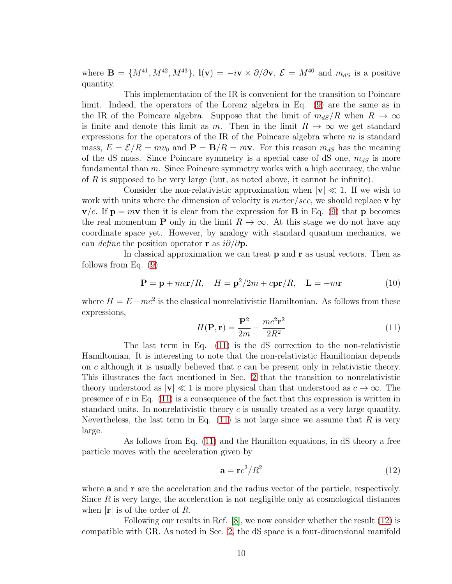where  $\mathbf{B} = \{M^{41}, M^{42}, M^{43}\}, \mathbf{l}(\mathbf{v}) = -i\mathbf{v} \times \partial/\partial \mathbf{v}, \mathcal{E} = M^{40} \text{ and } m_{dS} \text{ is a positive}$ quantity.

This implementation of the IR is convenient for the transition to Poincare limit. Indeed, the operators of the Lorenz algebra in Eq. [\(9\)](#page-8-0) are the same as in the IR of the Poincare algebra. Suppose that the limit of  $m_{dS}/R$  when  $R \to \infty$ is finite and denote this limit as m. Then in the limit  $R \to \infty$  we get standard expressions for the operators of the IR of the Poincare algebra where  $m$  is standard mass,  $E = \mathcal{E}/R = mv_0$  and  $\mathbf{P} = \mathbf{B}/R = m\mathbf{v}$ . For this reason  $m_{dS}$  has the meaning of the dS mass. Since Poincare symmetry is a special case of dS one,  $m_{dS}$  is more fundamental than  $m$ . Since Poincare symmetry works with a high accuracy, the value of R is supposed to be very large (but, as noted above, it cannot be infinite).

Consider the non-relativistic approximation when  $|v| \ll 1$ . If we wish to work with units where the dimension of velocity is  $meter/sec$ , we should replace v by  $\mathbf{v}/c$ . If  $\mathbf{p} = m\mathbf{v}$  then it is clear from the expression for **B** in Eq. [\(9\)](#page-8-0) that **p** becomes the real momentum **P** only in the limit  $R \to \infty$ . At this stage we do not have any coordinate space yet. However, by analogy with standard quantum mechanics, we can *define* the position operator **r** as  $i\partial/\partial$ **p**.

In classical approximation we can treat  $p$  and  $r$  as usual vectors. Then as follows from Eq. [\(9\)](#page-8-0)

<span id="page-9-2"></span>
$$
\mathbf{P} = \mathbf{p} + mc\mathbf{r}/R, \quad H = \mathbf{p}^2/2m + c\mathbf{p}\mathbf{r}/R, \quad \mathbf{L} = -m\mathbf{r}
$$
 (10)

where  $H = E - mc^2$  is the classical nonrelativistic Hamiltonian. As follows from these expressions,

<span id="page-9-0"></span>
$$
H(\mathbf{P}, \mathbf{r}) = \frac{\mathbf{P}^2}{2m} - \frac{mc^2 \mathbf{r}^2}{2R^2}
$$
 (11)

The last term in Eq. [\(11\)](#page-9-0) is the dS correction to the non-relativistic Hamiltonian. It is interesting to note that the non-relativistic Hamiltonian depends on c although it is usually believed that c can be present only in relativistic theory. This illustrates the fact mentioned in Sec. [2](#page-2-0) that the transition to nonrelativistic theory understood as  $|v| \ll 1$  is more physical than that understood as  $c \to \infty$ . The presence of c in Eq.  $(11)$  is a consequence of the fact that this expression is written in standard units. In nonrelativistic theory  $c$  is usually treated as a very large quantity. Nevertheless, the last term in Eq.  $(11)$  is not large since we assume that R is very large.

As follows from Eq. [\(11\)](#page-9-0) and the Hamilton equations, in dS theory a free particle moves with the acceleration given by

<span id="page-9-1"></span>
$$
\mathbf{a} = \mathbf{r}c^2/R^2 \tag{12}
$$

where **a** and **r** are the acceleration and the radius vector of the particle, respectively. Since  $R$  is very large, the acceleration is not negligible only at cosmological distances when  $|\mathbf{r}|$  is of the order of R.

Following our results in Ref. [\[8\]](#page-15-7), we now consider whether the result [\(12\)](#page-9-1) is compatible with GR. As noted in Sec. [2,](#page-2-0) the dS space is a four-dimensional manifold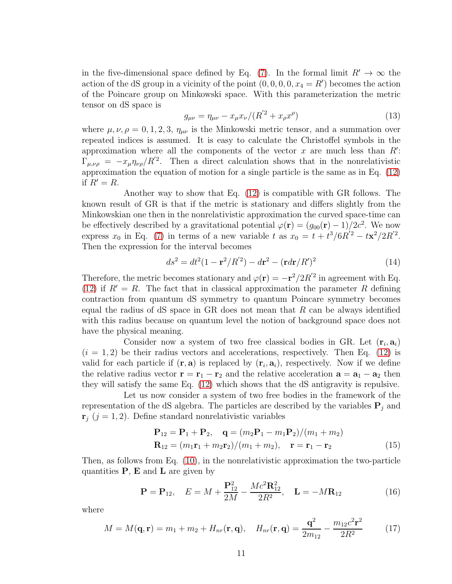in the five-dimensional space defined by Eq. [\(7\)](#page-7-0). In the formal limit  $R' \to \infty$  the action of the dS group in a vicinity of the point  $(0, 0, 0, 0, x_4 = R')$  becomes the action of the Poincare group on Minkowski space. With this parameterization the metric tensor on dS space is

$$
g_{\mu\nu} = \eta_{\mu\nu} - x_{\mu} x_{\nu} / (R'^2 + x_{\rho} x^{\rho})
$$
\n(13)

where  $\mu, \nu, \rho = 0, 1, 2, 3, \eta_{\mu\nu}$  is the Minkowski metric tensor, and a summation over repeated indices is assumed. It is easy to calculate the Christoffel symbols in the approximation where all the components of the vector  $x$  are much less than  $R'$ :  $\Gamma_{\mu,\nu\rho} = -x_{\mu}\eta_{\nu\rho}/R^{'2}$ . Then a direct calculation shows that in the nonrelativistic approximation the equation of motion for a single particle is the same as in Eq. [\(12\)](#page-9-1) if  $R' = R$ .

Another way to show that Eq. [\(12\)](#page-9-1) is compatible with GR follows. The known result of GR is that if the metric is stationary and differs slightly from the Minkowskian one then in the nonrelativistic approximation the curved space-time can be effectively described by a gravitational potential  $\varphi(\mathbf{r}) = (g_{00}(\mathbf{r}) - 1)/2c^2$ . We now express  $x_0$  in Eq. [\(7\)](#page-7-0) in terms of a new variable t as  $x_0 = t + t^3/6R^{'2} - t\mathbf{x}^2/2R^{'2}$ . Then the expression for the interval becomes

$$
ds^{2} = dt^{2}(1 - \mathbf{r}^{2}/R^{2}) - d\mathbf{r}^{2} - (\mathbf{r}d\mathbf{r}/R^{2})^{2}
$$
 (14)

Therefore, the metric becomes stationary and  $\varphi(\mathbf{r}) = -\mathbf{r}^2/2R'^2$  in agreement with Eq. [\(12\)](#page-9-1) if  $R' = R$ . The fact that in classical approximation the parameter R defining contraction from quantum dS symmetry to quantum Poincare symmetry becomes equal the radius of  $dS$  space in  $GR$  does not mean that  $R$  can be always identified with this radius because on quantum level the notion of background space does not have the physical meaning.

Consider now a system of two free classical bodies in GR. Let  $(\mathbf{r}_i, \mathbf{a}_i)$  $(i = 1, 2)$  be their radius vectors and accelerations, respectively. Then Eq. [\(12\)](#page-9-1) is valid for each particle if  $(\mathbf{r}, \mathbf{a})$  is replaced by  $(\mathbf{r}_i, \mathbf{a}_i)$ , respectively. Now if we define the relative radius vector  $\mathbf{r} = \mathbf{r}_1 - \mathbf{r}_2$  and the relative acceleration  $\mathbf{a} = \mathbf{a}_1 - \mathbf{a}_2$  then they will satisfy the same Eq. [\(12\)](#page-9-1) which shows that the dS antigravity is repulsive.

Let us now consider a system of two free bodies in the framework of the representation of the dS algebra. The particles are described by the variables  $P_i$  and  $\mathbf{r}_j$  (j = 1, 2). Define standard nonrelativistic variables

$$
\mathbf{P}_{12} = \mathbf{P}_1 + \mathbf{P}_2, \quad \mathbf{q} = (m_2 \mathbf{P}_1 - m_1 \mathbf{P}_2)/(m_1 + m_2) \n\mathbf{R}_{12} = (m_1 \mathbf{r}_1 + m_2 \mathbf{r}_2)/(m_1 + m_2), \quad \mathbf{r} = \mathbf{r}_1 - \mathbf{r}_2
$$
\n(15)

Then, as follows from Eq. [\(10\)](#page-9-2), in the nonrelativistic approximation the two-particle quantities  $P$ ,  $E$  and  $L$  are given by

$$
\mathbf{P} = \mathbf{P}_{12}, \quad E = M + \frac{\mathbf{P}_{12}^2}{2M} - \frac{Mc^2 \mathbf{R}_{12}^2}{2R^2}, \quad \mathbf{L} = -M\mathbf{R}_{12}
$$
(16)

where

$$
M = M(\mathbf{q}, \mathbf{r}) = m_1 + m_2 + H_{nr}(\mathbf{r}, \mathbf{q}), \quad H_{nr}(\mathbf{r}, \mathbf{q}) = \frac{\mathbf{q}^2}{2m_{12}} - \frac{m_{12}c^2\mathbf{r}^2}{2R^2}
$$
(17)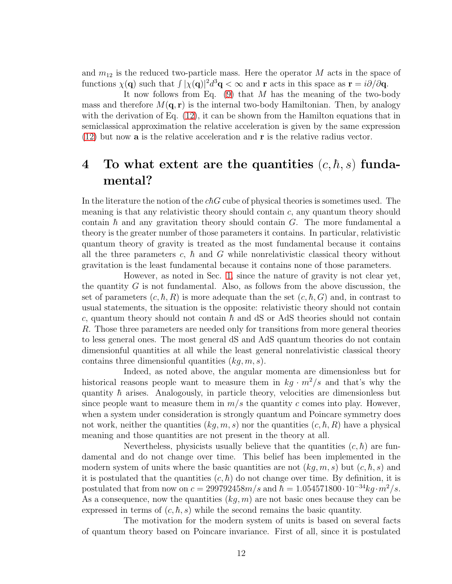and  $m_{12}$  is the reduced two-particle mass. Here the operator M acts in the space of functions  $\chi(\mathbf{q})$  such that  $\int |\chi(\mathbf{q})|^2 d^3\mathbf{q} < \infty$  and r acts in this space as  $\mathbf{r} = i\partial/\partial \mathbf{q}$ .

It now follows from Eq. [\(9\)](#page-8-0) that M has the meaning of the two-body mass and therefore  $M(\mathbf{q}, \mathbf{r})$  is the internal two-body Hamiltonian. Then, by analogy with the derivation of Eq.  $(12)$ , it can be shown from the Hamilton equations that in semiclassical approximation the relative acceleration is given by the same expression  $(12)$  but now **a** is the relative acceleration and **r** is the relative radius vector.

## <span id="page-11-0"></span>4 To what extent are the quantities  $(c, \hbar, s)$  fundamental?

In the literature the notion of the  $c\hbar G$  cube of physical theories is sometimes used. The meaning is that any relativistic theory should contain  $c$ , any quantum theory should contain  $\hbar$  and any gravitation theory should contain  $G$ . The more fundamental a theory is the greater number of those parameters it contains. In particular, relativistic quantum theory of gravity is treated as the most fundamental because it contains all the three parameters c,  $\hbar$  and G while nonrelativistic classical theory without gravitation is the least fundamental because it contains none of those parameters.

However, as noted in Sec. [1,](#page-1-0) since the nature of gravity is not clear yet, the quantity  $G$  is not fundamental. Also, as follows from the above discussion, the set of parameters  $(c, \hbar, R)$  is more adequate than the set  $(c, \hbar, G)$  and, in contrast to usual statements, the situation is the opposite: relativistic theory should not contain c, quantum theory should not contain  $\hbar$  and dS or AdS theories should not contain R. Those three parameters are needed only for transitions from more general theories to less general ones. The most general dS and AdS quantum theories do not contain dimensionful quantities at all while the least general nonrelativistic classical theory contains three dimensionful quantities  $(kq, m, s)$ .

Indeed, as noted above, the angular momenta are dimensionless but for historical reasons people want to measure them in  $kq \cdot m^2/s$  and that's why the quantity  $\hbar$  arises. Analogously, in particle theory, velocities are dimensionless but since people want to measure them in  $m/s$  the quantity c comes into play. However, when a system under consideration is strongly quantum and Poincare symmetry does not work, neither the quantities  $(kg, m, s)$  nor the quantities  $(c, \hbar, R)$  have a physical meaning and those quantities are not present in the theory at all.

Nevertheless, physicists usually believe that the quantities  $(c, \hbar)$  are fundamental and do not change over time. This belief has been implemented in the modern system of units where the basic quantities are not  $(kq, m, s)$  but  $(c, \hbar, s)$  and it is postulated that the quantities  $(c, \hbar)$  do not change over time. By definition, it is postulated that from now on  $c = 299792458m/s$  and  $\hbar = 1.054571800 \cdot 10^{-34}kg \cdot m^2/s$ . As a consequence, now the quantities  $(kg, m)$  are not basic ones because they can be expressed in terms of  $(c, \hbar, s)$  while the second remains the basic quantity.

The motivation for the modern system of units is based on several facts of quantum theory based on Poincare invariance. First of all, since it is postulated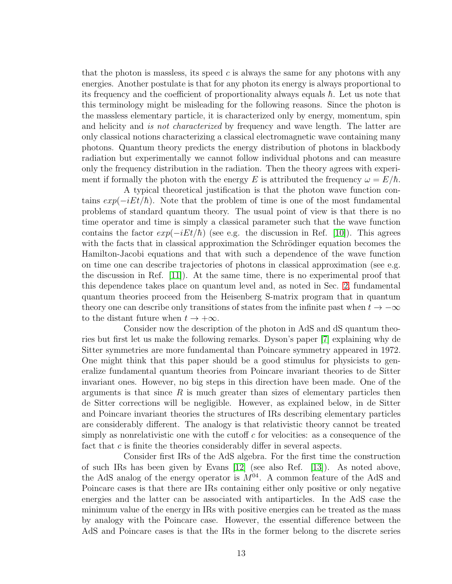that the photon is massless, its speed  $c$  is always the same for any photons with any energies. Another postulate is that for any photon its energy is always proportional to its frequency and the coefficient of proportionality always equals  $\hbar$ . Let us note that this terminology might be misleading for the following reasons. Since the photon is the massless elementary particle, it is characterized only by energy, momentum, spin and helicity and is not characterized by frequency and wave length. The latter are only classical notions characterizing a classical electromagnetic wave containing many photons. Quantum theory predicts the energy distribution of photons in blackbody radiation but experimentally we cannot follow individual photons and can measure only the frequency distribution in the radiation. Then the theory agrees with experiment if formally the photon with the energy E is attributed the frequency  $\omega = E/\hbar$ .

A typical theoretical justification is that the photon wave function contains  $exp(-iEt/\hbar)$ . Note that the problem of time is one of the most fundamental problems of standard quantum theory. The usual point of view is that there is no time operator and time is simply a classical parameter such that the wave function contains the factor  $exp(-iEt/\hbar)$  (see e.g. the discussion in Ref. [\[10\]](#page-15-9)). This agrees with the facts that in classical approximation the Schrödinger equation becomes the Hamilton-Jacobi equations and that with such a dependence of the wave function on time one can describe trajectories of photons in classical approximation (see e.g. the discussion in Ref. [\[11\]](#page-15-10)). At the same time, there is no experimental proof that this dependence takes place on quantum level and, as noted in Sec. [2,](#page-2-0) fundamental quantum theories proceed from the Heisenberg S-matrix program that in quantum theory one can describe only transitions of states from the infinite past when  $t \to -\infty$ to the distant future when  $t \to +\infty$ .

Consider now the description of the photon in AdS and dS quantum theories but first let us make the following remarks. Dyson's paper [\[7\]](#page-15-6) explaining why de Sitter symmetries are more fundamental than Poincare symmetry appeared in 1972. One might think that this paper should be a good stimulus for physicists to generalize fundamental quantum theories from Poincare invariant theories to de Sitter invariant ones. However, no big steps in this direction have been made. One of the arguments is that since  $R$  is much greater than sizes of elementary particles then de Sitter corrections will be negligible. However, as explained below, in de Sitter and Poincare invariant theories the structures of IRs describing elementary particles are considerably different. The analogy is that relativistic theory cannot be treated simply as nonrelativistic one with the cutoff  $c$  for velocities: as a consequence of the fact that  $c$  is finite the theories considerably differ in several aspects.

Consider first IRs of the AdS algebra. For the first time the construction of such IRs has been given by Evans [\[12\]](#page-15-11) (see also Ref. [\[13\]](#page-15-12)). As noted above, the AdS analog of the energy operator is  $M^{04}$ . A common feature of the AdS and Poincare cases is that there are IRs containing either only positive or only negative energies and the latter can be associated with antiparticles. In the AdS case the minimum value of the energy in IRs with positive energies can be treated as the mass by analogy with the Poincare case. However, the essential difference between the AdS and Poincare cases is that the IRs in the former belong to the discrete series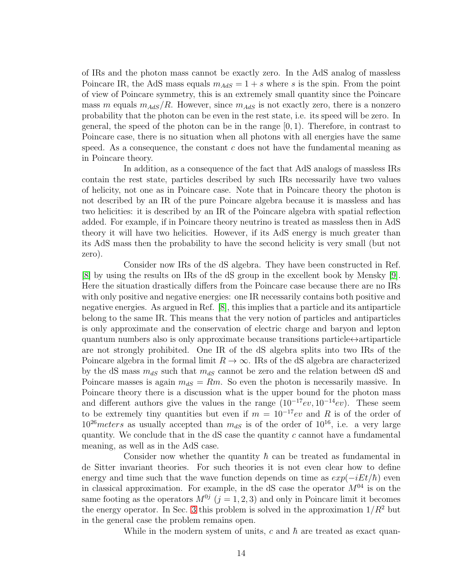of IRs and the photon mass cannot be exactly zero. In the AdS analog of massless Poincare IR, the AdS mass equals  $m_{AdS} = 1 + s$  where s is the spin. From the point of view of Poincare symmetry, this is an extremely small quantity since the Poincare mass m equals  $m_{AdS}/R$ . However, since  $m_{AdS}$  is not exactly zero, there is a nonzero probability that the photon can be even in the rest state, i.e. its speed will be zero. In general, the speed of the photon can be in the range  $[0, 1)$ . Therefore, in contrast to Poincare case, there is no situation when all photons with all energies have the same speed. As a consequence, the constant  $c$  does not have the fundamental meaning as in Poincare theory.

In addition, as a consequence of the fact that AdS analogs of massless IRs contain the rest state, particles described by such IRs necessarily have two values of helicity, not one as in Poincare case. Note that in Poincare theory the photon is not described by an IR of the pure Poincare algebra because it is massless and has two helicities: it is described by an IR of the Poincare algebra with spatial reflection added. For example, if in Poincare theory neutrino is treated as massless then in AdS theory it will have two helicities. However, if its AdS energy is much greater than its AdS mass then the probability to have the second helicity is very small (but not zero).

Consider now IRs of the dS algebra. They have been constructed in Ref. [\[8\]](#page-15-7) by using the results on IRs of the dS group in the excellent book by Mensky [\[9\]](#page-15-8). Here the situation drastically differs from the Poincare case because there are no IRs with only positive and negative energies: one IR necessarily contains both positive and negative energies. As argued in Ref. [\[8\]](#page-15-7), this implies that a particle and its antiparticle belong to the same IR. This means that the very notion of particles and antiparticles is only approximate and the conservation of electric charge and baryon and lepton quantum numbers also is only approximate because transitions particle $\leftrightarrow$ artiparticle are not strongly prohibited. One IR of the dS algebra splits into two IRs of the Poincare algebra in the formal limit  $R \to \infty$ . IRs of the dS algebra are characterized by the dS mass  $m_{dS}$  such that  $m_{dS}$  cannot be zero and the relation between dS and Poincare masses is again  $m_{dS} = Rm$ . So even the photon is necessarily massive. In Poincare theory there is a discussion what is the upper bound for the photon mass and different authors give the values in the range  $(10^{-17}ev, 10^{-14}ev)$ . These seem to be extremely tiny quantities but even if  $m = 10^{-17}ev$  and R is of the order of  $10^{26}$ meters as usually accepted than  $m_{dS}$  is of the order of  $10^{16}$ , i.e. a very large quantity. We conclude that in the  $dS$  case the quantity c cannot have a fundamental meaning, as well as in the AdS case.

Consider now whether the quantity  $\hbar$  can be treated as fundamental in de Sitter invariant theories. For such theories it is not even clear how to define energy and time such that the wave function depends on time as  $exp(-iEt/\hbar)$  even in classical approximation. For example, in the dS case the operator  $M^{04}$  is on the same footing as the operators  $M^{0j}$   $(j = 1, 2, 3)$  and only in Poincare limit it becomes the energy operator. In Sec. [3](#page-8-1) this problem is solved in the approximation  $1/R^2$  but in the general case the problem remains open.

While in the modern system of units, c and  $\hbar$  are treated as exact quan-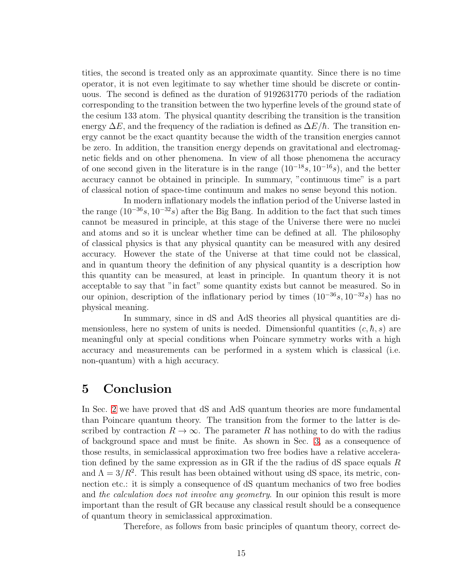tities, the second is treated only as an approximate quantity. Since there is no time operator, it is not even legitimate to say whether time should be discrete or continuous. The second is defined as the duration of 9192631770 periods of the radiation corresponding to the transition between the two hyperfine levels of the ground state of the cesium 133 atom. The physical quantity describing the transition is the transition energy  $\Delta E$ , and the frequency of the radiation is defined as  $\Delta E/\hbar$ . The transition energy cannot be the exact quantity because the width of the transition energies cannot be zero. In addition, the transition energy depends on gravitational and electromagnetic fields and on other phenomena. In view of all those phenomena the accuracy of one second given in the literature is in the range  $(10^{-18}s, 10^{-16}s)$ , and the better accuracy cannot be obtained in principle. In summary, "continuous time" is a part of classical notion of space-time continuum and makes no sense beyond this notion.

In modern inflationary models the inflation period of the Universe lasted in the range  $(10^{-36}s, 10^{-32}s)$  after the Big Bang. In addition to the fact that such times cannot be measured in principle, at this stage of the Universe there were no nuclei and atoms and so it is unclear whether time can be defined at all. The philosophy of classical physics is that any physical quantity can be measured with any desired accuracy. However the state of the Universe at that time could not be classical, and in quantum theory the definition of any physical quantity is a description how this quantity can be measured, at least in principle. In quantum theory it is not acceptable to say that "in fact" some quantity exists but cannot be measured. So in our opinion, description of the inflationary period by times  $(10^{-36}s, 10^{-32}s)$  has no physical meaning.

In summary, since in dS and AdS theories all physical quantities are dimensionless, here no system of units is needed. Dimensionful quantities  $(c, \hbar, s)$  are meaningful only at special conditions when Poincare symmetry works with a high accuracy and measurements can be performed in a system which is classical (i.e. non-quantum) with a high accuracy.

## 5 Conclusion

In Sec. [2](#page-2-0) we have proved that dS and AdS quantum theories are more fundamental than Poincare quantum theory. The transition from the former to the latter is described by contraction  $R \to \infty$ . The parameter R has nothing to do with the radius of background space and must be finite. As shown in Sec. [3,](#page-8-1) as a consequence of those results, in semiclassical approximation two free bodies have a relative acceleration defined by the same expression as in GR if the the radius of dS space equals R and  $\Lambda = 3/R^2$ . This result has been obtained without using dS space, its metric, connection etc.: it is simply a consequence of dS quantum mechanics of two free bodies and the calculation does not involve any geometry. In our opinion this result is more important than the result of GR because any classical result should be a consequence of quantum theory in semiclassical approximation.

Therefore, as follows from basic principles of quantum theory, correct de-